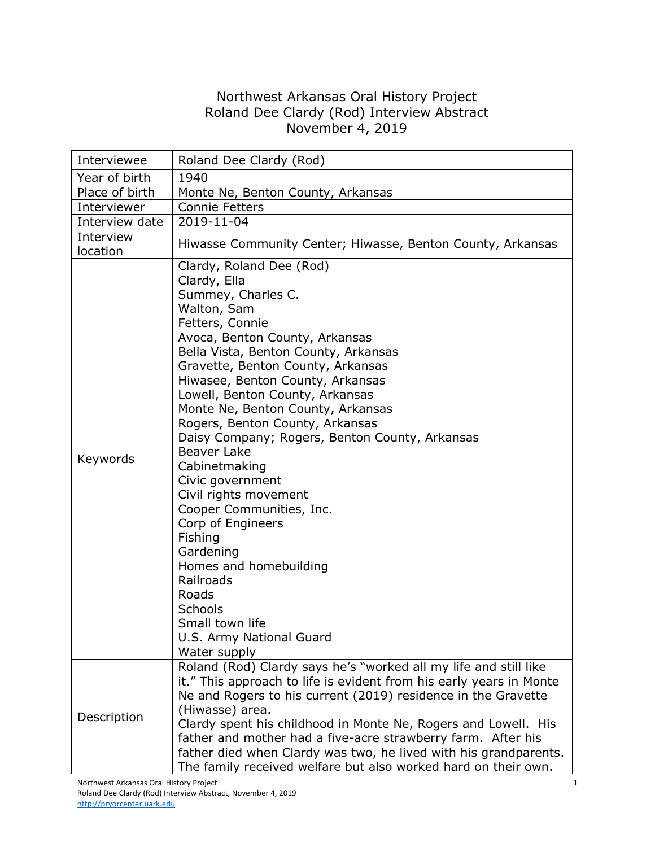## Northwest Arkansas Oral History Project Roland Dee Clardy (Rod) Interview Abstract November 4, 2019

| Interviewee           | Roland Dee Clardy (Rod)                                                                                                                                                                                                                                                                                                                                                                                                                                                                                                                                                                                                                                                                                        |
|-----------------------|----------------------------------------------------------------------------------------------------------------------------------------------------------------------------------------------------------------------------------------------------------------------------------------------------------------------------------------------------------------------------------------------------------------------------------------------------------------------------------------------------------------------------------------------------------------------------------------------------------------------------------------------------------------------------------------------------------------|
| Year of birth         | 1940                                                                                                                                                                                                                                                                                                                                                                                                                                                                                                                                                                                                                                                                                                           |
| Place of birth        | Monte Ne, Benton County, Arkansas                                                                                                                                                                                                                                                                                                                                                                                                                                                                                                                                                                                                                                                                              |
| Interviewer           | <b>Connie Fetters</b>                                                                                                                                                                                                                                                                                                                                                                                                                                                                                                                                                                                                                                                                                          |
| Interview date        | 2019-11-04                                                                                                                                                                                                                                                                                                                                                                                                                                                                                                                                                                                                                                                                                                     |
| Interview<br>location | Hiwasse Community Center; Hiwasse, Benton County, Arkansas                                                                                                                                                                                                                                                                                                                                                                                                                                                                                                                                                                                                                                                     |
| Keywords              | Clardy, Roland Dee (Rod)<br>Clardy, Ella<br>Summey, Charles C.<br>Walton, Sam<br>Fetters, Connie<br>Avoca, Benton County, Arkansas<br>Bella Vista, Benton County, Arkansas<br>Gravette, Benton County, Arkansas<br>Hiwasee, Benton County, Arkansas<br>Lowell, Benton County, Arkansas<br>Monte Ne, Benton County, Arkansas<br>Rogers, Benton County, Arkansas<br>Daisy Company; Rogers, Benton County, Arkansas<br><b>Beaver Lake</b><br>Cabinetmaking<br>Civic government<br>Civil rights movement<br>Cooper Communities, Inc.<br>Corp of Engineers<br>Fishing<br>Gardening<br>Homes and homebuilding<br>Railroads<br>Roads<br><b>Schools</b><br>Small town life<br>U.S. Army National Guard<br>Water supply |
| Description           | Roland (Rod) Clardy says he's "worked all my life and still like<br>it." This approach to life is evident from his early years in Monte<br>Ne and Rogers to his current (2019) residence in the Gravette<br>(Hiwasse) area.<br>Clardy spent his childhood in Monte Ne, Rogers and Lowell. His<br>father and mother had a five-acre strawberry farm. After his<br>father died when Clardy was two, he lived with his grandparents.                                                                                                                                                                                                                                                                              |
|                       | The family received welfare but also worked hard on their own.                                                                                                                                                                                                                                                                                                                                                                                                                                                                                                                                                                                                                                                 |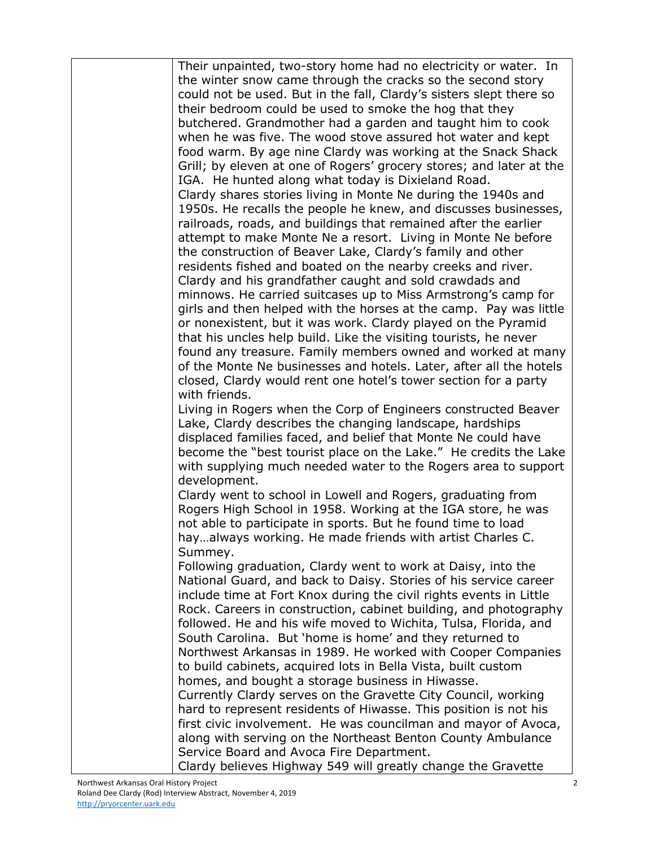| Their unpainted, two-story home had no electricity or water. In     |
|---------------------------------------------------------------------|
| the winter snow came through the cracks so the second story         |
| could not be used. But in the fall, Clardy's sisters slept there so |
| their bedroom could be used to smoke the hog that they              |
| butchered. Grandmother had a garden and taught him to cook          |
| when he was five. The wood stove assured hot water and kept         |
| food warm. By age nine Clardy was working at the Snack Shack        |
| Grill; by eleven at one of Rogers' grocery stores; and later at the |
| IGA. He hunted along what today is Dixieland Road.                  |
| Clardy shares stories living in Monte Ne during the 1940s and       |
| 1950s. He recalls the people he knew, and discusses businesses,     |
| railroads, roads, and buildings that remained after the earlier     |
| attempt to make Monte Ne a resort. Living in Monte Ne before        |
| the construction of Beaver Lake, Clardy's family and other          |
| residents fished and boated on the nearby creeks and river.         |
| Clardy and his grandfather caught and sold crawdads and             |
| minnows. He carried suitcases up to Miss Armstrong's camp for       |
| girls and then helped with the horses at the camp. Pay was little   |
| or nonexistent, but it was work. Clardy played on the Pyramid       |
| that his uncles help build. Like the visiting tourists, he never    |
| found any treasure. Family members owned and worked at many         |
| of the Monte Ne businesses and hotels. Later, after all the hotels  |
| closed, Clardy would rent one hotel's tower section for a party     |
| with friends.                                                       |
| Living in Rogers when the Corp of Engineers constructed Beaver      |
| Lake, Clardy describes the changing landscape, hardships            |
| displaced families faced, and belief that Monte Ne could have       |
| become the "best tourist place on the Lake." He credits the Lake    |
| with supplying much needed water to the Rogers area to support      |
| development.                                                        |
| Clardy went to school in Lowell and Rogers, graduating from         |
| Rogers High School in 1958. Working at the IGA store, he was        |
| not able to participate in sports. But he found time to load        |
| hayalways working. He made friends with artist Charles C.           |
| Summey.                                                             |
| Following graduation, Clardy went to work at Daisy, into the        |
| National Guard, and back to Daisy. Stories of his service career    |
| include time at Fort Knox during the civil rights events in Little  |
| Rock. Careers in construction, cabinet building, and photography    |
| followed. He and his wife moved to Wichita, Tulsa, Florida, and     |
| South Carolina. But 'home is home' and they returned to             |
| Northwest Arkansas in 1989. He worked with Cooper Companies         |
| to build cabinets, acquired lots in Bella Vista, built custom       |
| homes, and bought a storage business in Hiwasse.                    |
| Currently Clardy serves on the Gravette City Council, working       |
| hard to represent residents of Hiwasse. This position is not his    |
| first civic involvement. He was councilman and mayor of Avoca,      |
| along with serving on the Northeast Benton County Ambulance         |
| Service Board and Avoca Fire Department.                            |
| Clardy believes Highway 549 will greatly change the Gravette        |
|                                                                     |